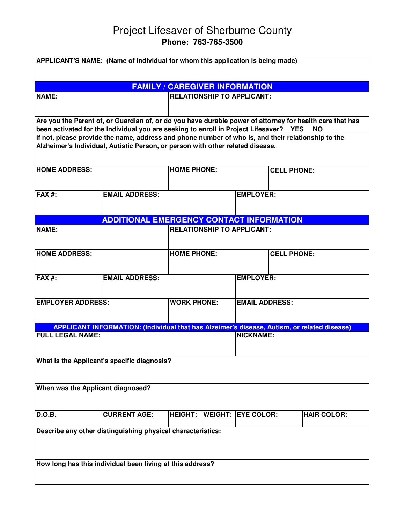## Project Lifesaver of Sherburne County **Phone: 763-765-3500**

| APPLICANT'S NAME: (Name of Individual for whom this application is being made)                                                                                                       |                                   |                                             |  |                           |  |                    |  |
|--------------------------------------------------------------------------------------------------------------------------------------------------------------------------------------|-----------------------------------|---------------------------------------------|--|---------------------------|--|--------------------|--|
|                                                                                                                                                                                      |                                   |                                             |  |                           |  |                    |  |
| <b>FAMILY / CAREGIVER INFORMATION</b>                                                                                                                                                |                                   |                                             |  |                           |  |                    |  |
| <b>NAME:</b>                                                                                                                                                                         | <b>RELATIONSHIP TO APPLICANT:</b> |                                             |  |                           |  |                    |  |
|                                                                                                                                                                                      |                                   |                                             |  |                           |  |                    |  |
| Are you the Parent of, or Guardian of, or do you have durable power of attorney for health care that has                                                                             |                                   |                                             |  |                           |  |                    |  |
| been activated for the Individual you are seeking to enroll in Project Lifesaver? YES<br><b>NO</b>                                                                                   |                                   |                                             |  |                           |  |                    |  |
| If not, please provide the name, address and phone number of who is, and their relationship to the<br>Alzheimer's Individual, Autistic Person, or person with other related disease. |                                   |                                             |  |                           |  |                    |  |
| <b>HOME ADDRESS:</b>                                                                                                                                                                 |                                   | <b>HOME PHONE:</b>                          |  | <b>CELL PHONE:</b>        |  |                    |  |
| FAX#:                                                                                                                                                                                | <b>EMAIL ADDRESS:</b>             |                                             |  | <b>EMPLOYER:</b>          |  |                    |  |
|                                                                                                                                                                                      |                                   |                                             |  |                           |  |                    |  |
|                                                                                                                                                                                      |                                   |                                             |  |                           |  |                    |  |
| <b>ADDITIONAL EMERGENCY CONTACT INFORMATION</b>                                                                                                                                      |                                   |                                             |  |                           |  |                    |  |
| <b>NAME:</b><br><b>RELATIONSHIP TO APPLICANT:</b>                                                                                                                                    |                                   |                                             |  |                           |  |                    |  |
| <b>HOME ADDRESS:</b>                                                                                                                                                                 |                                   | <b>HOME PHONE:</b>                          |  | <b>CELL PHONE:</b>        |  |                    |  |
|                                                                                                                                                                                      |                                   |                                             |  |                           |  |                    |  |
| <b>FAX#:</b><br><b>EMAIL ADDRESS:</b>                                                                                                                                                |                                   |                                             |  | <b>EMPLOYER:</b>          |  |                    |  |
|                                                                                                                                                                                      |                                   |                                             |  |                           |  |                    |  |
| <b>EMPLOYER ADDRESS:</b>                                                                                                                                                             |                                   | <b>WORK PHONE:</b><br><b>EMAIL ADDRESS:</b> |  |                           |  |                    |  |
|                                                                                                                                                                                      |                                   |                                             |  |                           |  |                    |  |
| <b>APPLICANT INFORMATION: (Individual that has Alzeimer's disease, Autism, or related disease)</b>                                                                                   |                                   |                                             |  |                           |  |                    |  |
| <b>FULL LEGAL NAME:</b>                                                                                                                                                              |                                   |                                             |  | <b>NICKNAME:</b>          |  |                    |  |
|                                                                                                                                                                                      |                                   |                                             |  |                           |  |                    |  |
| What is the Applicant's specific diagnosis?                                                                                                                                          |                                   |                                             |  |                           |  |                    |  |
|                                                                                                                                                                                      |                                   |                                             |  |                           |  |                    |  |
| When was the Applicant diagnosed?                                                                                                                                                    |                                   |                                             |  |                           |  |                    |  |
| <b>D.O.B.</b>                                                                                                                                                                        | <b>CURRENT AGE:</b>               | <b>HEIGHT:</b>                              |  | <b>WEIGHT: EYE COLOR:</b> |  | <b>HAIR COLOR:</b> |  |
| Describe any other distinguishing physical characteristics:                                                                                                                          |                                   |                                             |  |                           |  |                    |  |
|                                                                                                                                                                                      |                                   |                                             |  |                           |  |                    |  |
| How long has this individual been living at this address?                                                                                                                            |                                   |                                             |  |                           |  |                    |  |
|                                                                                                                                                                                      |                                   |                                             |  |                           |  |                    |  |
|                                                                                                                                                                                      |                                   |                                             |  |                           |  |                    |  |